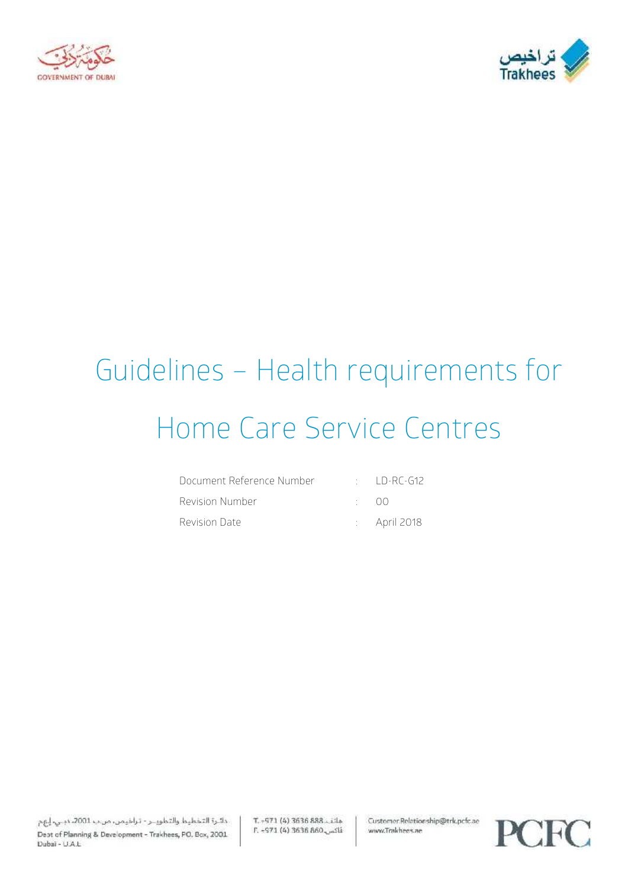



# Guidelines – Health requirements for Home Care Service Centres

| Document Reference Number |              | $\pm$ LD-RC-G12         |
|---------------------------|--------------|-------------------------|
| Revision Number           | $\cdot$ ()() |                         |
| Revision Date             |              | $\therefore$ April 2018 |

T. - 971 (4) 3636 888. Lila E. -971 (4) 3636 860 Customer.Relationship@trk.pcfc.ae www.Trakhees.ae

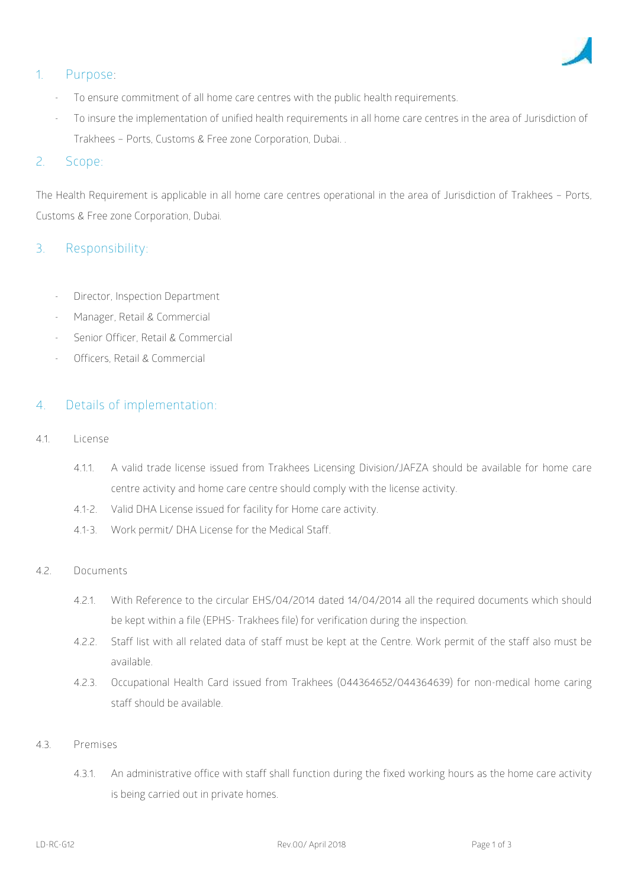

# **1. Purpose:**

- To ensure commitment of all home care centres with the public health requirements.
- To insure the implementation of unified health requirements in all home care centres in the area of Jurisdiction of Trakhees – Ports, Customs & Free zone Corporation, Dubai. .

## 2. **Scope**:

The Health Requirement is applicable in all home care centres operational in the area of Jurisdiction of Trakhees – Ports, Customs & Free zone Corporation, Dubai.

## **3. Responsibility:**

- Director, Inspection Department
- Manager, Retail & Commercial
- Senior Officer, Retail & Commercial
- Officers, Retail & Commercial

### **4. Details of implementation**:

- 4.1. **License**
	- 4.1.1. A valid trade license issued from Trakhees Licensing Division/JAFZA should be available for home care centre activity and home care centre should comply with the license activity.
	- 4.1-2. Valid DHA License issued for facility for Home care activity.
	- 4.1-3. Work permit/ DHA License for the Medical Staff.
- 4.2. **Documents**
	- 4.2.1. With Reference to the circular EHS/04/2014 dated 14/04/2014 all the required documents which should be kept within a file (EPHS- Trakhees file) for verification during the inspection.
	- 4.2.2. Staff list with all related data of staff must be kept at the Centre. Work permit of the staff also must be available.
	- 4.2.3. Occupational Health Card issued from Trakhees (044364652/044364639) for non-medical home caring staff should be available.
- 4.3. **Premises**
	- 4.3.1. An administrative office with staff shall function during the fixed working hours as the home care activity is being carried out in private homes.